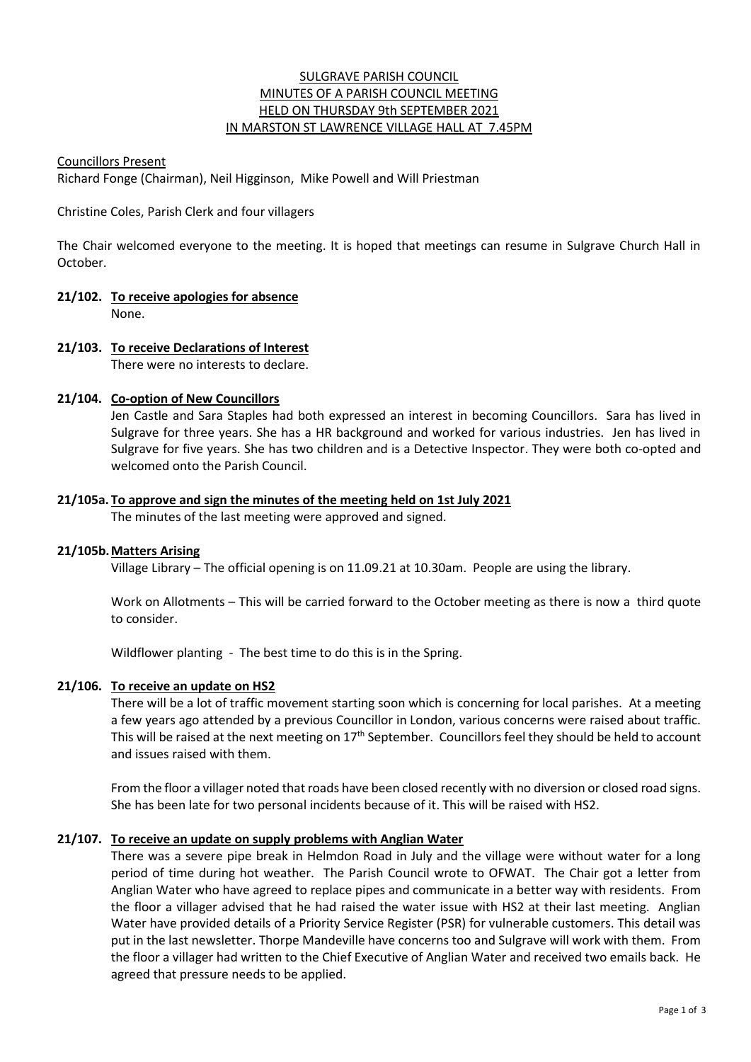# SULGRAVE PARISH COUNCIL MINUTES OF A PARISH COUNCIL MEETING HELD ON THURSDAY 9th SEPTEMBER 2021 IN MARSTON ST LAWRENCE VILLAGE HALL AT 7.45PM

## Councillors Present

Richard Fonge (Chairman), Neil Higginson, Mike Powell and Will Priestman

Christine Coles, Parish Clerk and four villagers

The Chair welcomed everyone to the meeting. It is hoped that meetings can resume in Sulgrave Church Hall in October.

- **21/102. To receive apologies for absence** None.
- **21/103. To receive Declarations of Interest** There were no interests to declare.

# **21/104. Co-option of New Councillors**

Jen Castle and Sara Staples had both expressed an interest in becoming Councillors. Sara has lived in Sulgrave for three years. She has a HR background and worked for various industries. Jen has lived in Sulgrave for five years. She has two children and is a Detective Inspector. They were both co-opted and welcomed onto the Parish Council.

# **21/105a. To approve and sign the minutes of the meeting held on 1st July 2021**

The minutes of the last meeting were approved and signed.

## **21/105b.Matters Arising**

Village Library – The official opening is on 11.09.21 at 10.30am. People are using the library.

Work on Allotments – This will be carried forward to the October meeting as there is now a third quote to consider.

Wildflower planting - The best time to do this is in the Spring.

# **21/106. To receive an update on HS2**

There will be a lot of traffic movement starting soon which is concerning for local parishes. At a meeting a few years ago attended by a previous Councillor in London, various concerns were raised about traffic. This will be raised at the next meeting on  $17<sup>th</sup>$  September. Councillors feel they should be held to account and issues raised with them.

From the floor a villager noted that roads have been closed recently with no diversion or closed road signs. She has been late for two personal incidents because of it. This will be raised with HS2.

# **21/107. To receive an update on supply problems with Anglian Water**

There was a severe pipe break in Helmdon Road in July and the village were without water for a long period of time during hot weather. The Parish Council wrote to OFWAT. The Chair got a letter from Anglian Water who have agreed to replace pipes and communicate in a better way with residents. From the floor a villager advised that he had raised the water issue with HS2 at their last meeting. Anglian Water have provided details of a Priority Service Register (PSR) for vulnerable customers. This detail was put in the last newsletter. Thorpe Mandeville have concerns too and Sulgrave will work with them. From the floor a villager had written to the Chief Executive of Anglian Water and received two emails back. He agreed that pressure needs to be applied.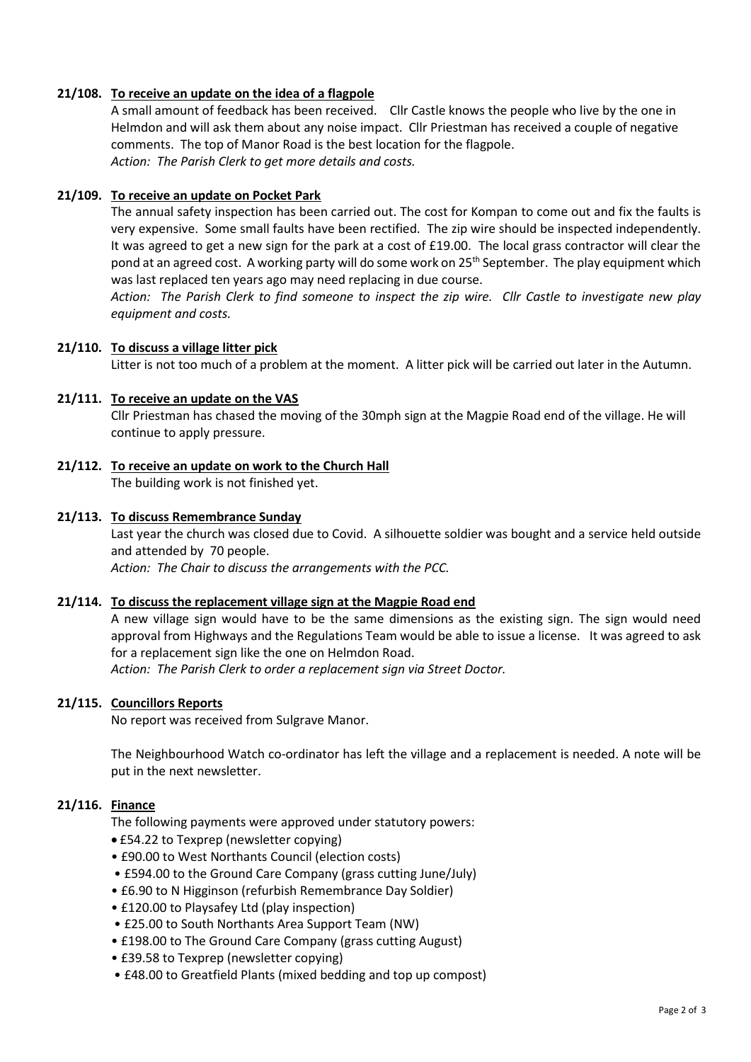## **21/108. To receive an update on the idea of a flagpole**

A small amount of feedback has been received. Cllr Castle knows the people who live by the one in Helmdon and will ask them about any noise impact. Cllr Priestman has received a couple of negative comments. The top of Manor Road is the best location for the flagpole. *Action: The Parish Clerk to get more details and costs.*

## **21/109. To receive an update on Pocket Park**

The annual safety inspection has been carried out. The cost for Kompan to come out and fix the faults is very expensive. Some small faults have been rectified. The zip wire should be inspected independently. It was agreed to get a new sign for the park at a cost of £19.00. The local grass contractor will clear the pond at an agreed cost. A working party will do some work on 25<sup>th</sup> September. The play equipment which was last replaced ten years ago may need replacing in due course.

*Action: The Parish Clerk to find someone to inspect the zip wire. Cllr Castle to investigate new play equipment and costs.*

## **21/110. To discuss a village litter pick**

Litter is not too much of a problem at the moment. A litter pick will be carried out later in the Autumn.

#### **21/111. To receive an update on the VAS**

Cllr Priestman has chased the moving of the 30mph sign at the Magpie Road end of the village. He will continue to apply pressure.

**21/112. To receive an update on work to the Church Hall** The building work is not finished yet.

#### **21/113. To discuss Remembrance Sunday**

Last year the church was closed due to Covid. A silhouette soldier was bought and a service held outside and attended by 70 people. *Action: The Chair to discuss the arrangements with the PCC.*

#### **21/114. To discuss the replacement village sign at the Magpie Road end**

A new village sign would have to be the same dimensions as the existing sign. The sign would need approval from Highways and the Regulations Team would be able to issue a license. It was agreed to ask for a replacement sign like the one on Helmdon Road. *Action: The Parish Clerk to order a replacement sign via Street Doctor.*

# **21/115. Councillors Reports**

No report was received from Sulgrave Manor.

The Neighbourhood Watch co-ordinator has left the village and a replacement is needed. A note will be put in the next newsletter.

## **21/116. Finance**

The following payments were approved under statutory powers:

- £54.22 to Texprep (newsletter copying)
- £90.00 to West Northants Council (election costs)
- £594.00 to the Ground Care Company (grass cutting June/July)
- £6.90 to N Higginson (refurbish Remembrance Day Soldier)
- £120.00 to Playsafey Ltd (play inspection)
- £25.00 to South Northants Area Support Team (NW)
- £198.00 to The Ground Care Company (grass cutting August)
- £39.58 to Texprep (newsletter copying)
- £48.00 to Greatfield Plants (mixed bedding and top up compost)